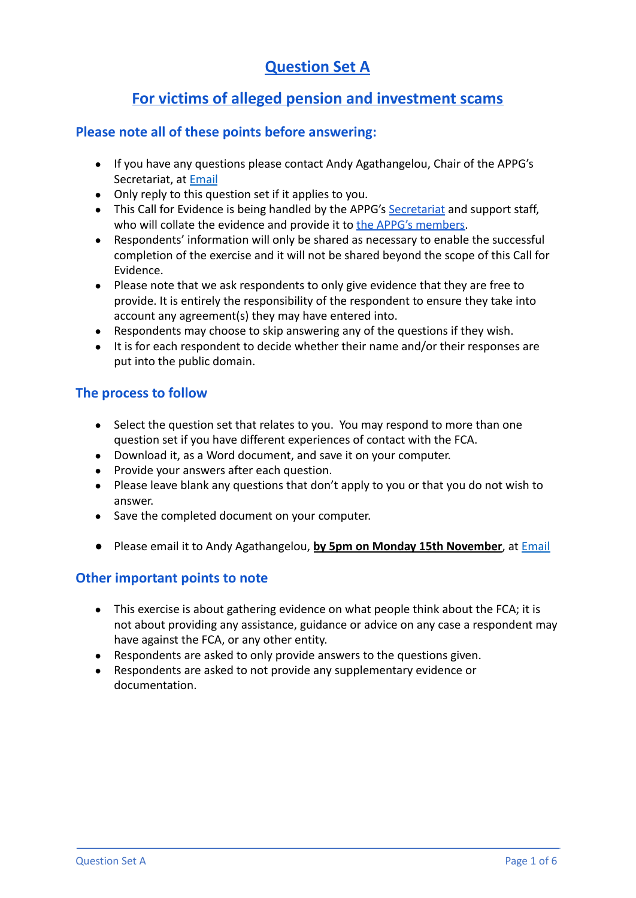# **Question Set A**

# **For victims of alleged pension and investment scams**

## **Please note all of these points before answering:**

- If you have any questions please contact Andy Agathangelou, Chair of the APPG's Secretariat, at [Email](mailto:andy.agathangelou@transparencytaskforce.org?subject=%20My%20submission%20to%20the%20Call%20for%20Evidence%20about%20the%20FCA)
- Only reply to this question set if it applies to you.
- This Call for Evidence is being handled by the APPG's [Secretariat](https://appgonpersonalbankingandfairerfinancialservices.org/about-us/secretariat) and support staff, who will collate the evidence and provide it to the [APPG's members.](https://appgonpersonalbankingandfairerfinancialservices.org/about-us/members)
- Respondents' information will only be shared as necessary to enable the successful completion of the exercise and it will not be shared beyond the scope of this Call for Evidence.
- Please note that we ask respondents to only give evidence that they are free to provide. It is entirely the responsibility of the respondent to ensure they take into account any agreement(s) they may have entered into.
- Respondents may choose to skip answering any of the questions if they wish.
- It is for each respondent to decide whether their name and/or their responses are put into the public domain.

# **The process to follow**

- Select the question set that relates to you. You may respond to more than one question set if you have different experiences of contact with the FCA.
- Download it, as a Word document, and save it on your computer.
- Provide your answers after each question.
- Please leave blank any questions that don't apply to you or that you do not wish to answer.
- Save the completed document on your computer.
- Please email it to Andy Agathangelou, **by 5pm on Monday 15th November**, at [Email](mailto:andy.agathangelou@transparencytaskforce.org?subject=%20My%20submission%20to%20the%20Call%20for%20Evidence%20about%20the%20FCA)

# **Other important points to note**

- This exercise is about gathering evidence on what people think about the FCA; it is not about providing any assistance, guidance or advice on any case a respondent may have against the FCA, or any other entity.
- Respondents are asked to only provide answers to the questions given.
- Respondents are asked to not provide any supplementary evidence or documentation.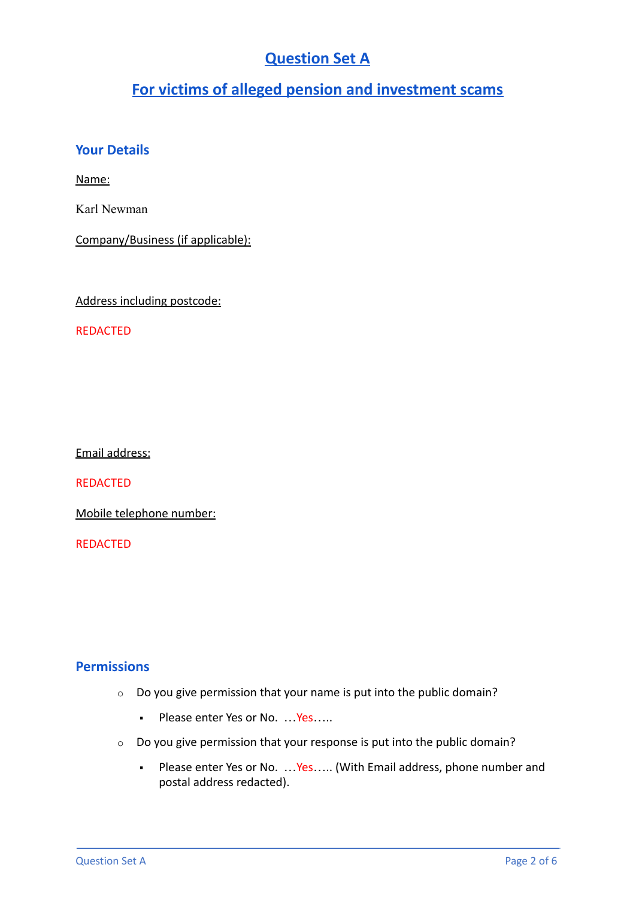# **Question Set A**

# **For victims of alleged pension and investment scams**

# **Your Details**

Name:

Karl Newman

Company/Business (if applicable):

Address including postcode:

REDACTED

Email address:

REDACTED

Mobile telephone number:

REDACTED

# **Permissions**

- o Do you give permission that your name is put into the public domain?
	- Please enter Yes or No. ... Yes.....
- o Do you give permission that your response is put into the public domain?
	- Please enter Yes or No. …Yes….. (With Email address, phone number and postal address redacted).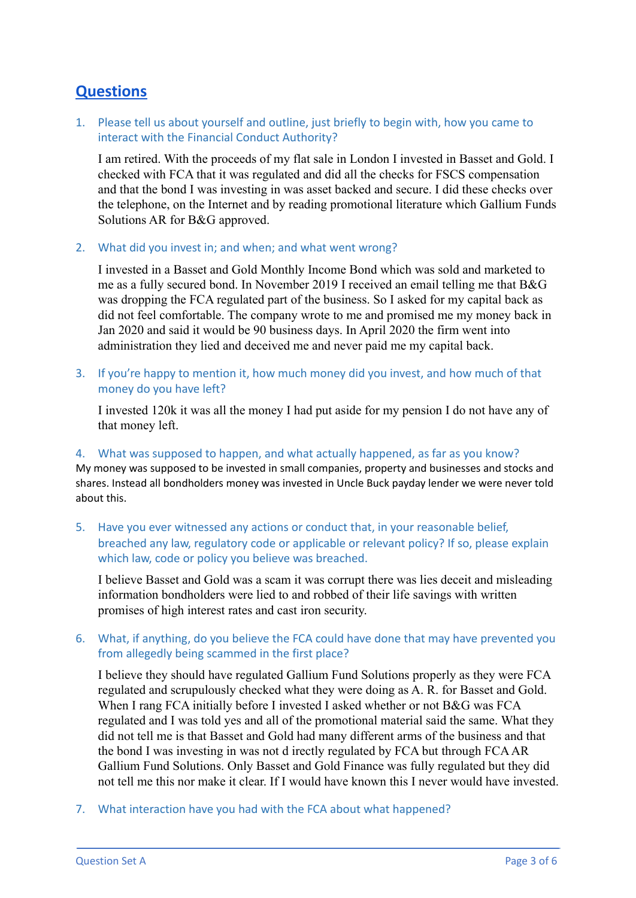# **Questions**

1. Please tell us about yourself and outline, just briefly to begin with, how you came to interact with the Financial Conduct Authority?

I am retired. With the proceeds of my flat sale in London I invested in Basset and Gold. I checked with FCA that it was regulated and did all the checks for FSCS compensation and that the bond I was investing in was asset backed and secure. I did these checks over the telephone, on the Internet and by reading promotional literature which Gallium Funds Solutions AR for B&G approved.

2. What did you invest in; and when; and what went wrong?

I invested in a Basset and Gold Monthly Income Bond which was sold and marketed to me as a fully secured bond. In November 2019 I received an email telling me that B&G was dropping the FCA regulated part of the business. So I asked for my capital back as did not feel comfortable. The company wrote to me and promised me my money back in Jan 2020 and said it would be 90 business days. In April 2020 the firm went into administration they lied and deceived me and never paid me my capital back.

3. If you're happy to mention it, how much money did you invest, and how much of that money do you have left?

I invested 120k it was all the money I had put aside for my pension I do not have any of that money left.

#### 4. What was supposed to happen, and what actually happened, as far as you know?

My money was supposed to be invested in small companies, property and businesses and stocks and shares. Instead all bondholders money was invested in Uncle Buck payday lender we were never told about this.

5. Have you ever witnessed any actions or conduct that, in your reasonable belief, breached any law, regulatory code or applicable or relevant policy? If so, please explain which law, code or policy you believe was breached.

I believe Basset and Gold was a scam it was corrupt there was lies deceit and misleading information bondholders were lied to and robbed of their life savings with written promises of high interest rates and cast iron security.

## 6. What, if anything, do you believe the FCA could have done that may have prevented you from allegedly being scammed in the first place?

I believe they should have regulated Gallium Fund Solutions properly as they were FCA regulated and scrupulously checked what they were doing as A. R. for Basset and Gold. When I rang FCA initially before I invested I asked whether or not B&G was FCA regulated and I was told yes and all of the promotional material said the same. What they did not tell me is that Basset and Gold had many different arms of the business and that the bond I was investing in was not d irectly regulated by FCA but through FCAAR Gallium Fund Solutions. Only Basset and Gold Finance was fully regulated but they did not tell me this nor make it clear. If I would have known this I never would have invested.

7. What interaction have you had with the FCA about what happened?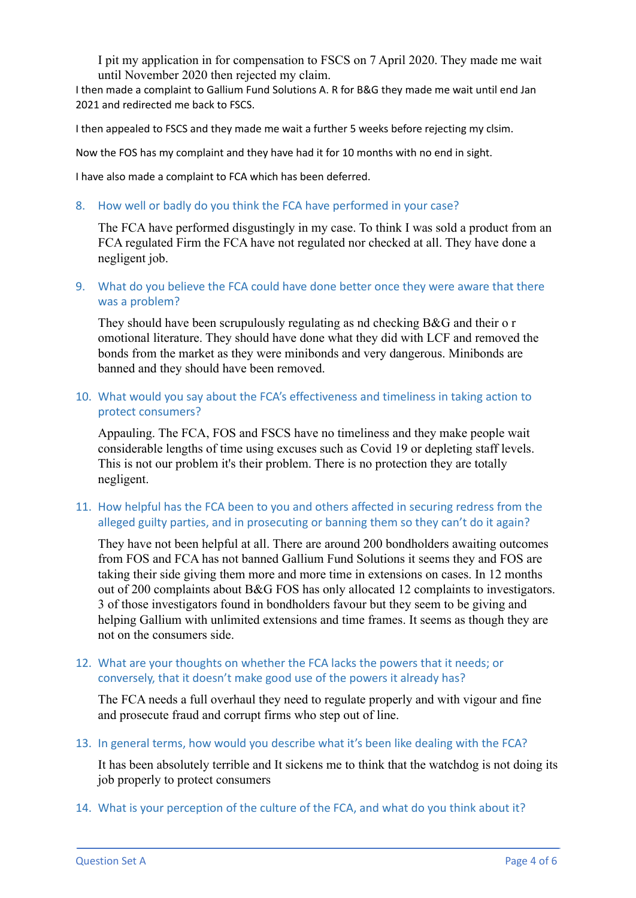I pit my application in for compensation to FSCS on 7 April 2020. They made me wait until November 2020 then rejected my claim.

I then made a complaint to Gallium Fund Solutions A. R for B&G they made me wait until end Jan 2021 and redirected me back to FSCS.

I then appealed to FSCS and they made me wait a further 5 weeks before rejecting my clsim.

Now the FOS has my complaint and they have had it for 10 months with no end in sight.

I have also made a complaint to FCA which has been deferred.

8. How well or badly do you think the FCA have performed in your case?

The FCA have performed disgustingly in my case. To think I was sold a product from an FCA regulated Firm the FCA have not regulated nor checked at all. They have done a negligent job.

9. What do you believe the FCA could have done better once they were aware that there was a problem?

They should have been scrupulously regulating as nd checking B&G and their o r omotional literature. They should have done what they did with LCF and removed the bonds from the market as they were minibonds and very dangerous. Minibonds are banned and they should have been removed.

## 10. What would you say about the FCA's effectiveness and timeliness in taking action to protect consumers?

Appauling. The FCA, FOS and FSCS have no timeliness and they make people wait considerable lengths of time using excuses such as Covid 19 or depleting staff levels. This is not our problem it's their problem. There is no protection they are totally negligent.

### 11. How helpful has the FCA been to you and others affected in securing redress from the alleged guilty parties, and in prosecuting or banning them so they can't do it again?

They have not been helpful at all. There are around 200 bondholders awaiting outcomes from FOS and FCA has not banned Gallium Fund Solutions it seems they and FOS are taking their side giving them more and more time in extensions on cases. In 12 months out of 200 complaints about B&G FOS has only allocated 12 complaints to investigators. 3 of those investigators found in bondholders favour but they seem to be giving and helping Gallium with unlimited extensions and time frames. It seems as though they are not on the consumers side.

## 12. What are your thoughts on whether the FCA lacks the powers that it needs; or conversely, that it doesn't make good use of the powers it already has?

The FCA needs a full overhaul they need to regulate properly and with vigour and fine and prosecute fraud and corrupt firms who step out of line.

13. In general terms, how would you describe what it's been like dealing with the FCA?

It has been absolutely terrible and It sickens me to think that the watchdog is not doing its job properly to protect consumers

14. What is your perception of the culture of the FCA, and what do you think about it?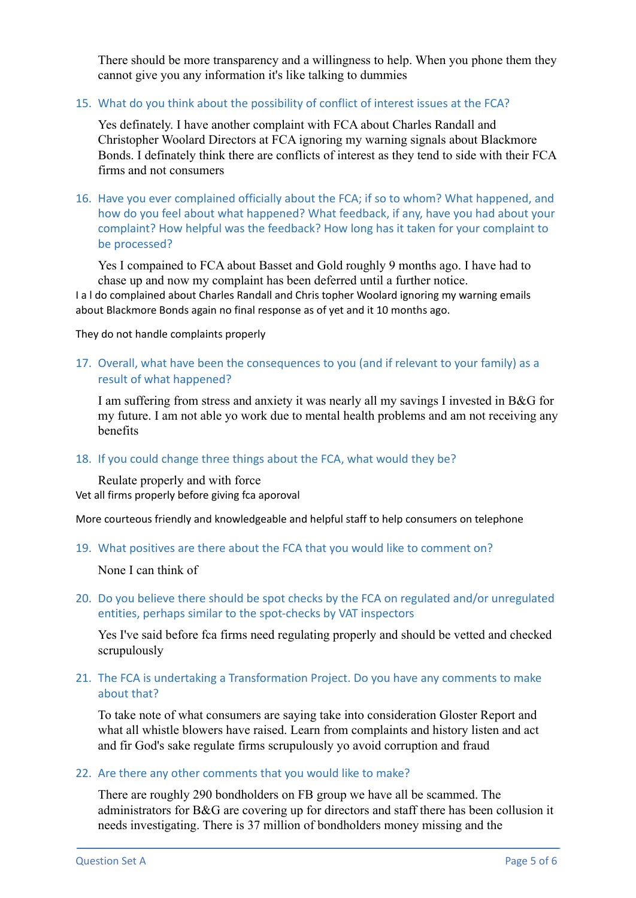There should be more transparency and a willingness to help. When you phone them they cannot give you any information it's like talking to dummies

## 15. What do you think about the possibility of conflict of interest issues at the FCA?

Yes definately. I have another complaint with FCA about Charles Randall and Christopher Woolard Directors at FCA ignoring my warning signals about Blackmore Bonds. I definately think there are conflicts of interest as they tend to side with their FCA firms and not consumers

16. Have you ever complained officially about the FCA; if so to whom? What happened, and how do you feel about what happened? What feedback, if any, have you had about your complaint? How helpful was the feedback? How long has it taken for your complaint to be processed?

Yes I compained to FCA about Basset and Gold roughly 9 months ago. I have had to chase up and now my complaint has been deferred until a further notice.

I a l do complained about Charles Randall and Chris topher Woolard ignoring my warning emails about Blackmore Bonds again no final response as of yet and it 10 months ago.

They do not handle complaints properly

## 17. Overall, what have been the consequences to you (and if relevant to your family) as a result of what happened?

I am suffering from stress and anxiety it was nearly all my savings I invested in B&G for my future. I am not able yo work due to mental health problems and am not receiving any benefits

#### 18. If you could change three things about the FCA, what would they be?

Reulate properly and with force Vet all firms properly before giving fca aporoval

More courteous friendly and knowledgeable and helpful staff to help consumers on telephone

19. What positives are there about the FCA that you would like to comment on?

None I can think of

20. Do you believe there should be spot checks by the FCA on regulated and/or unregulated entities, perhaps similar to the spot-checks by VAT inspectors

Yes I've said before fca firms need regulating properly and should be vetted and checked scrupulously

### 21. The FCA is undertaking a Transformation Project. Do you have any comments to make about that?

To take note of what consumers are saying take into consideration Gloster Report and what all whistle blowers have raised. Learn from complaints and history listen and act and fir God's sake regulate firms scrupulously yo avoid corruption and fraud

#### 22. Are there any other comments that you would like to make?

There are roughly 290 bondholders on FB group we have all be scammed. The administrators for B&G are covering up for directors and staff there has been collusion it needs investigating. There is 37 million of bondholders money missing and the